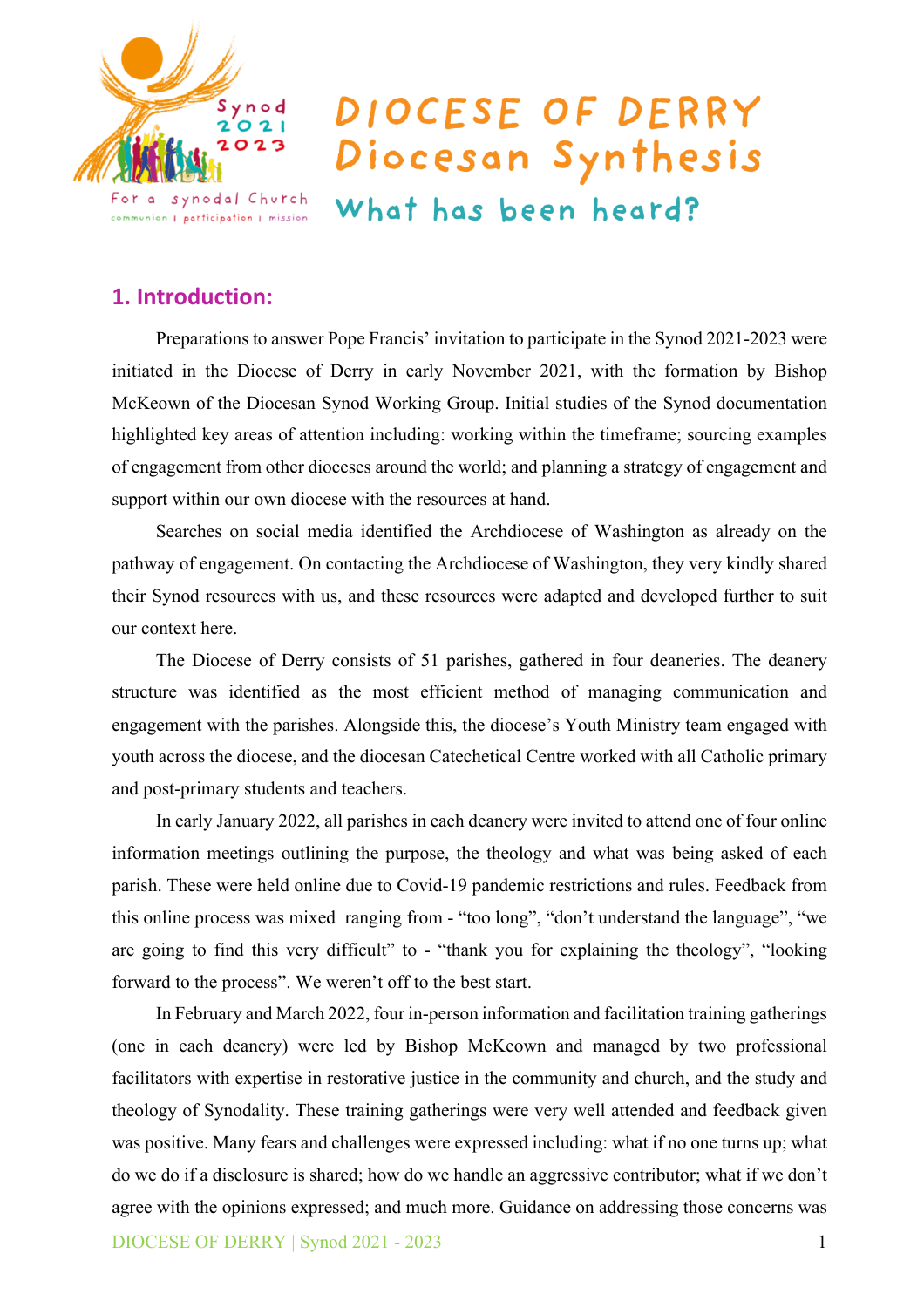

# DIOCESE OF DERRY Diocesan Synthesis

What has been heard?

# **1. Introduction:**

Preparations to answer Pope Francis' invitation to participate in the Synod 2021-2023 were initiated in the Diocese of Derry in early November 2021, with the formation by Bishop McKeown of the Diocesan Synod Working Group. Initial studies of the Synod documentation highlighted key areas of attention including: working within the timeframe; sourcing examples of engagement from other dioceses around the world; and planning a strategy of engagement and support within our own diocese with the resources at hand.

Searches on social media identified the Archdiocese of Washington as already on the pathway of engagement. On contacting the Archdiocese of Washington, they very kindly shared their Synod resources with us, and these resources were adapted and developed further to suit our context here.

The Diocese of Derry consists of 51 parishes, gathered in four deaneries. The deanery structure was identified as the most efficient method of managing communication and engagement with the parishes. Alongside this, the diocese's Youth Ministry team engaged with youth across the diocese, and the diocesan Catechetical Centre worked with all Catholic primary and post-primary students and teachers.

In early January 2022, all parishes in each deanery were invited to attend one of four online information meetings outlining the purpose, the theology and what was being asked of each parish. These were held online due to Covid-19 pandemic restrictions and rules. Feedback from this online process was mixed ranging from - "too long", "don't understand the language", "we are going to find this very difficult" to - "thank you for explaining the theology", "looking forward to the process". We weren't off to the best start.

In February and March 2022, four in-person information and facilitation training gatherings (one in each deanery) were led by Bishop McKeown and managed by two professional facilitators with expertise in restorative justice in the community and church, and the study and theology of Synodality. These training gatherings were very well attended and feedback given was positive. Many fears and challenges were expressed including: what if no one turns up; what do we do if a disclosure is shared; how do we handle an aggressive contributor; what if we don't agree with the opinions expressed; and much more. Guidance on addressing those concerns was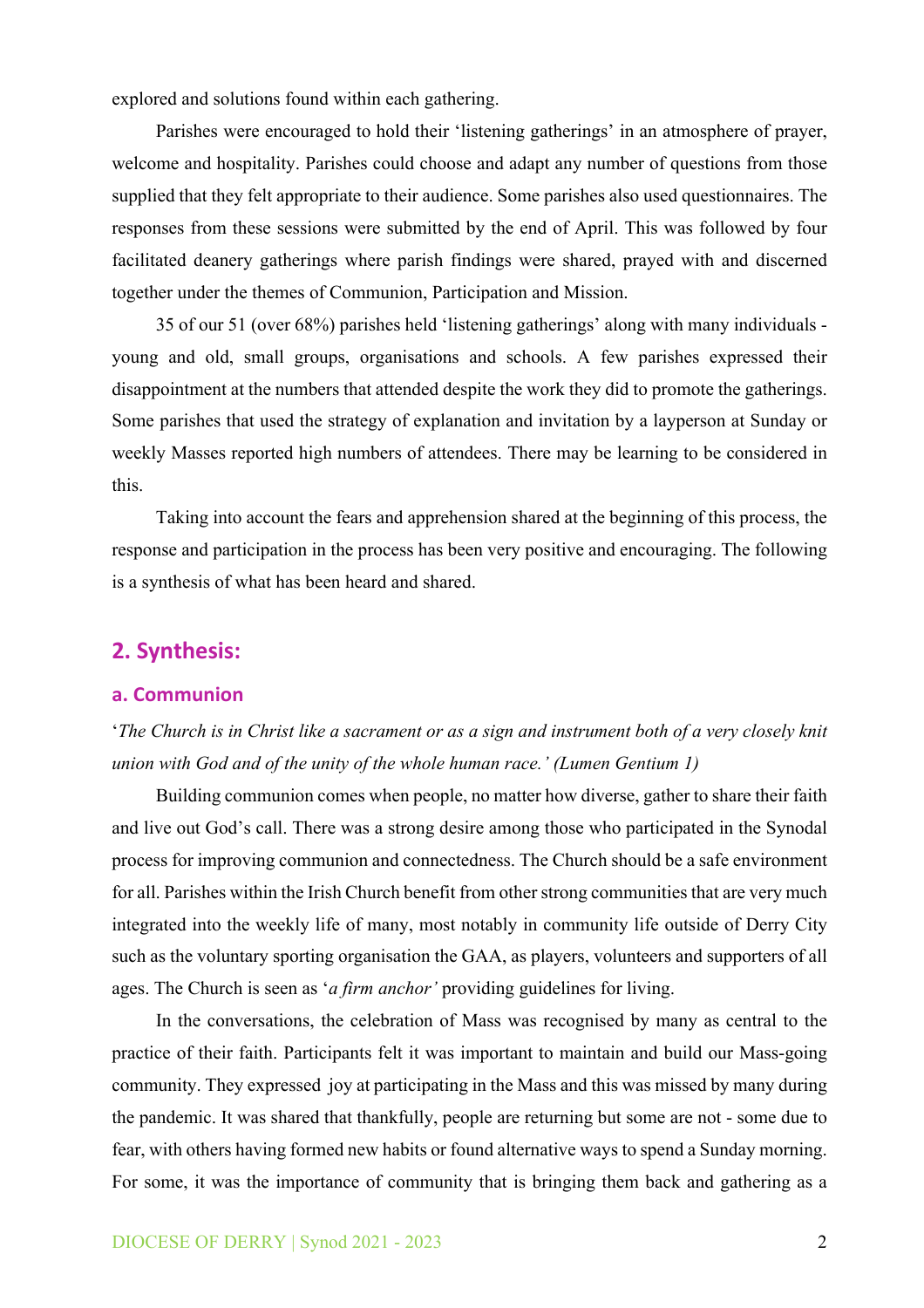explored and solutions found within each gathering.

Parishes were encouraged to hold their 'listening gatherings' in an atmosphere of prayer, welcome and hospitality. Parishes could choose and adapt any number of questions from those supplied that they felt appropriate to their audience. Some parishes also used questionnaires. The responses from these sessions were submitted by the end of April. This was followed by four facilitated deanery gatherings where parish findings were shared, prayed with and discerned together under the themes of Communion, Participation and Mission.

35 of our 51 (over 68%) parishes held 'listening gatherings' along with many individuals young and old, small groups, organisations and schools. A few parishes expressed their disappointment at the numbers that attended despite the work they did to promote the gatherings. Some parishes that used the strategy of explanation and invitation by a layperson at Sunday or weekly Masses reported high numbers of attendees. There may be learning to be considered in this.

Taking into account the fears and apprehension shared at the beginning of this process, the response and participation in the process has been very positive and encouraging. The following is a synthesis of what has been heard and shared.

# **2. Synthesis:**

#### **a. Communion**

'*The Church is in Christ like a sacrament or as a sign and instrument both of a very closely knit union with God and of the unity of the whole human race.' (Lumen Gentium 1)*

Building communion comes when people, no matter how diverse, gather to share their faith and live out God's call. There was a strong desire among those who participated in the Synodal process for improving communion and connectedness. The Church should be a safe environment for all. Parishes within the Irish Church benefit from other strong communities that are very much integrated into the weekly life of many, most notably in community life outside of Derry City such as the voluntary sporting organisation the GAA, as players, volunteers and supporters of all ages. The Church is seen as '*a firm anchor'* providing guidelines for living.

In the conversations, the celebration of Mass was recognised by many as central to the practice of their faith. Participants felt it was important to maintain and build our Mass-going community. They expressed joy at participating in the Mass and this was missed by many during the pandemic. It was shared that thankfully, people are returning but some are not - some due to fear, with others having formed new habits or found alternative ways to spend a Sunday morning. For some, it was the importance of community that is bringing them back and gathering as a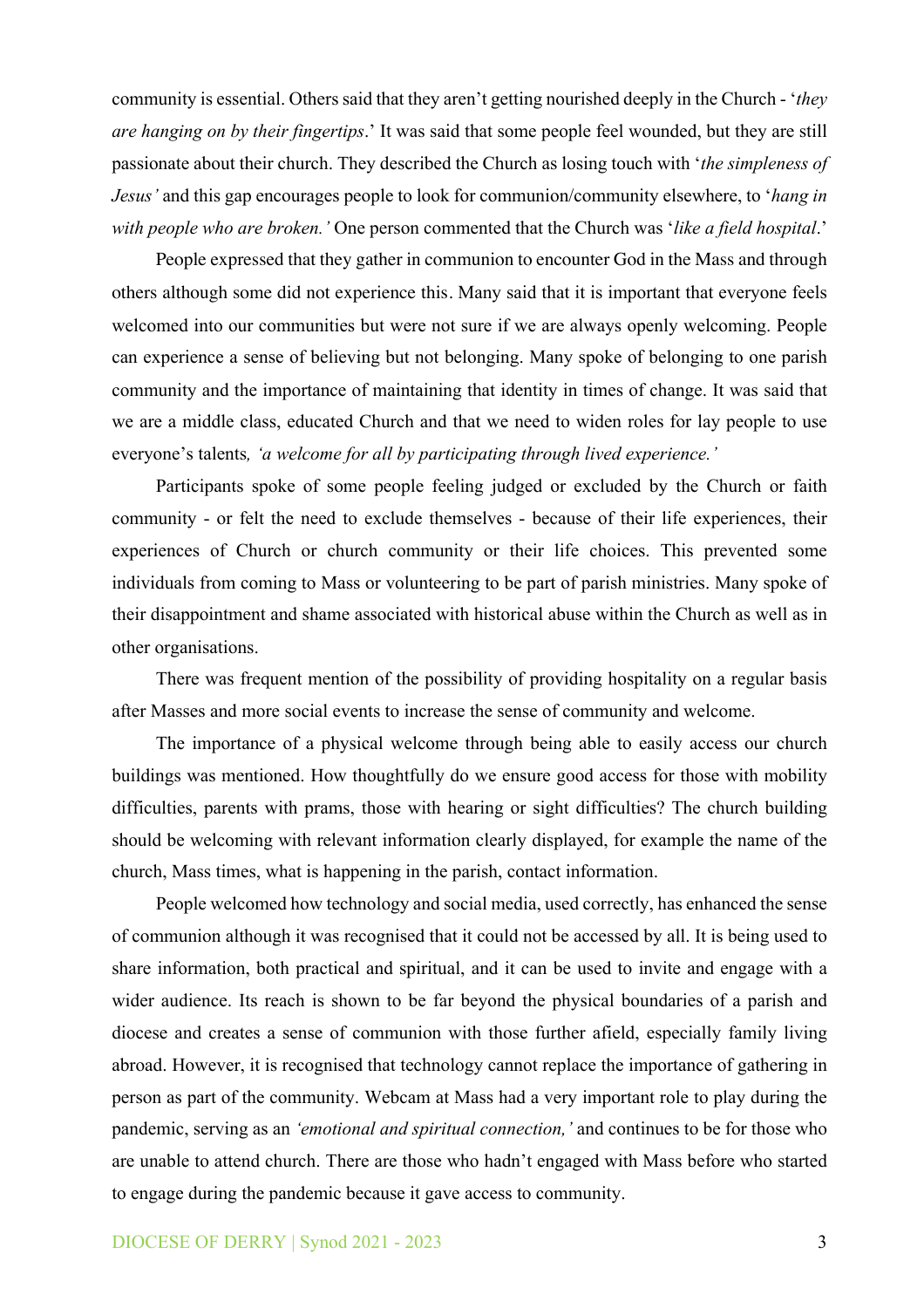community is essential. Others said that they aren't getting nourished deeply in the Church - '*they are hanging on by their fingertips*.' It was said that some people feel wounded, but they are still passionate about their church. They described the Church as losing touch with '*the simpleness of Jesus'* and this gap encourages people to look for communion/community elsewhere, to '*hang in with people who are broken.'* One person commented that the Church was '*like a field hospital*.'

People expressed that they gather in communion to encounter God in the Mass and through others although some did not experience this. Many said that it is important that everyone feels welcomed into our communities but were not sure if we are always openly welcoming. People can experience a sense of believing but not belonging. Many spoke of belonging to one parish community and the importance of maintaining that identity in times of change. It was said that we are a middle class, educated Church and that we need to widen roles for lay people to use everyone's talents*, 'a welcome for all by participating through lived experience.'*

Participants spoke of some people feeling judged or excluded by the Church or faith community - or felt the need to exclude themselves - because of their life experiences, their experiences of Church or church community or their life choices. This prevented some individuals from coming to Mass or volunteering to be part of parish ministries. Many spoke of their disappointment and shame associated with historical abuse within the Church as well as in other organisations.

There was frequent mention of the possibility of providing hospitality on a regular basis after Masses and more social events to increase the sense of community and welcome.

The importance of a physical welcome through being able to easily access our church buildings was mentioned. How thoughtfully do we ensure good access for those with mobility difficulties, parents with prams, those with hearing or sight difficulties? The church building should be welcoming with relevant information clearly displayed, for example the name of the church, Mass times, what is happening in the parish, contact information.

People welcomed how technology and social media, used correctly, has enhanced the sense of communion although it was recognised that it could not be accessed by all. It is being used to share information, both practical and spiritual, and it can be used to invite and engage with a wider audience. Its reach is shown to be far beyond the physical boundaries of a parish and diocese and creates a sense of communion with those further afield, especially family living abroad. However, it is recognised that technology cannot replace the importance of gathering in person as part of the community. Webcam at Mass had a very important role to play during the pandemic, serving as an *'emotional and spiritual connection,'* and continues to be for those who are unable to attend church. There are those who hadn't engaged with Mass before who started to engage during the pandemic because it gave access to community.

#### DIOCESE OF DERRY | Synod 2021 - 2023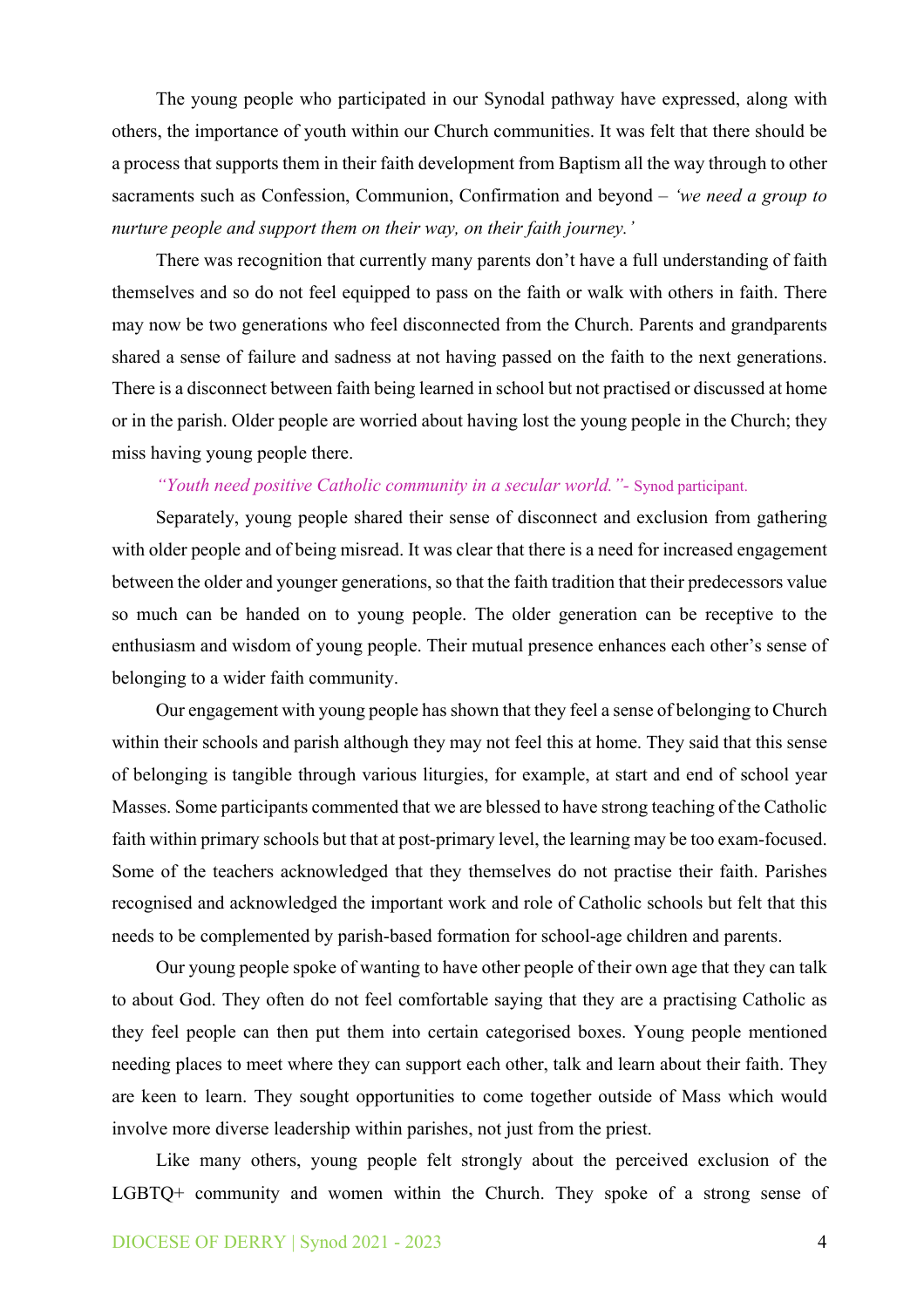The young people who participated in our Synodal pathway have expressed, along with others, the importance of youth within our Church communities. It was felt that there should be a process that supports them in their faith development from Baptism all the way through to other sacraments such as Confession, Communion, Confirmation and beyond – *'we need a group to nurture people and support them on their way, on their faith journey.'*

There was recognition that currently many parents don't have a full understanding of faith themselves and so do not feel equipped to pass on the faith or walk with others in faith. There may now be two generations who feel disconnected from the Church. Parents and grandparents shared a sense of failure and sadness at not having passed on the faith to the next generations. There is a disconnect between faith being learned in school but not practised or discussed at home or in the parish. Older people are worried about having lost the young people in the Church; they miss having young people there.

## *"Youth need positive Catholic community in a secular world."-* Synod participant.

Separately, young people shared their sense of disconnect and exclusion from gathering with older people and of being misread. It was clear that there is a need for increased engagement between the older and younger generations, so that the faith tradition that their predecessors value so much can be handed on to young people. The older generation can be receptive to the enthusiasm and wisdom of young people. Their mutual presence enhances each other's sense of belonging to a wider faith community.

Our engagement with young people has shown that they feel a sense of belonging to Church within their schools and parish although they may not feel this at home. They said that this sense of belonging is tangible through various liturgies, for example, at start and end of school year Masses. Some participants commented that we are blessed to have strong teaching of the Catholic faith within primary schools but that at post-primary level, the learning may be too exam-focused. Some of the teachers acknowledged that they themselves do not practise their faith. Parishes recognised and acknowledged the important work and role of Catholic schools but felt that this needs to be complemented by parish-based formation for school-age children and parents.

Our young people spoke of wanting to have other people of their own age that they can talk to about God. They often do not feel comfortable saying that they are a practising Catholic as they feel people can then put them into certain categorised boxes. Young people mentioned needing places to meet where they can support each other, talk and learn about their faith. They are keen to learn. They sought opportunities to come together outside of Mass which would involve more diverse leadership within parishes, not just from the priest.

Like many others, young people felt strongly about the perceived exclusion of the LGBTQ+ community and women within the Church. They spoke of a strong sense of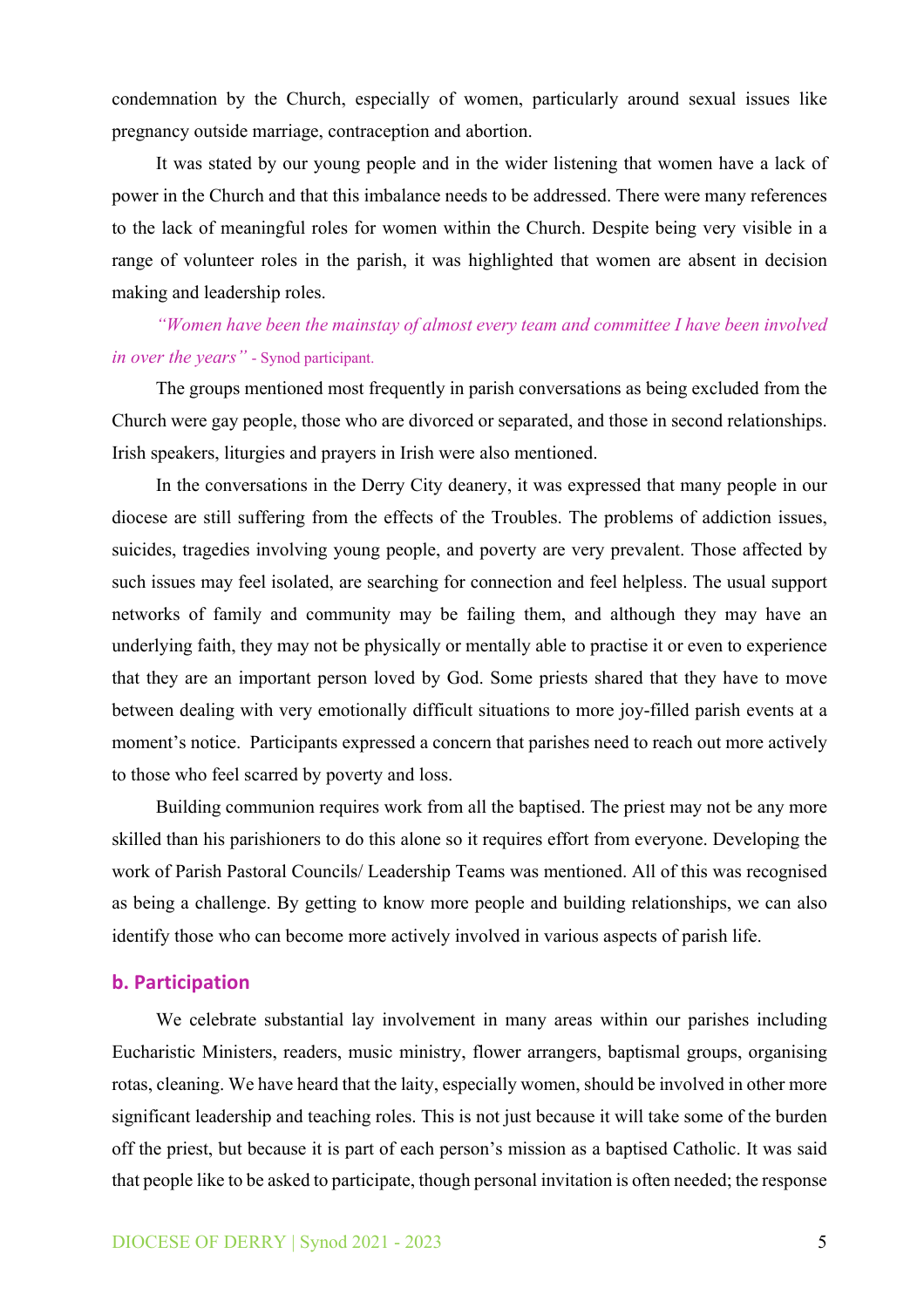condemnation by the Church, especially of women, particularly around sexual issues like pregnancy outside marriage, contraception and abortion.

It was stated by our young people and in the wider listening that women have a lack of power in the Church and that this imbalance needs to be addressed. There were many references to the lack of meaningful roles for women within the Church. Despite being very visible in a range of volunteer roles in the parish, it was highlighted that women are absent in decision making and leadership roles.

*"Women have been the mainstay of almost every team and committee I have been involved in over the years"* - Synod participant.

The groups mentioned most frequently in parish conversations as being excluded from the Church were gay people, those who are divorced or separated, and those in second relationships. Irish speakers, liturgies and prayers in Irish were also mentioned.

In the conversations in the Derry City deanery, it was expressed that many people in our diocese are still suffering from the effects of the Troubles. The problems of addiction issues, suicides, tragedies involving young people, and poverty are very prevalent. Those affected by such issues may feel isolated, are searching for connection and feel helpless. The usual support networks of family and community may be failing them, and although they may have an underlying faith, they may not be physically or mentally able to practise it or even to experience that they are an important person loved by God. Some priests shared that they have to move between dealing with very emotionally difficult situations to more joy-filled parish events at a moment's notice. Participants expressed a concern that parishes need to reach out more actively to those who feel scarred by poverty and loss.

Building communion requires work from all the baptised. The priest may not be any more skilled than his parishioners to do this alone so it requires effort from everyone. Developing the work of Parish Pastoral Councils/ Leadership Teams was mentioned. All of this was recognised as being a challenge. By getting to know more people and building relationships, we can also identify those who can become more actively involved in various aspects of parish life.

### **b. Participation**

We celebrate substantial lay involvement in many areas within our parishes including Eucharistic Ministers, readers, music ministry, flower arrangers, baptismal groups, organising rotas, cleaning. We have heard that the laity, especially women, should be involved in other more significant leadership and teaching roles. This is not just because it will take some of the burden off the priest, but because it is part of each person's mission as a baptised Catholic. It was said that people like to be asked to participate, though personal invitation is often needed; the response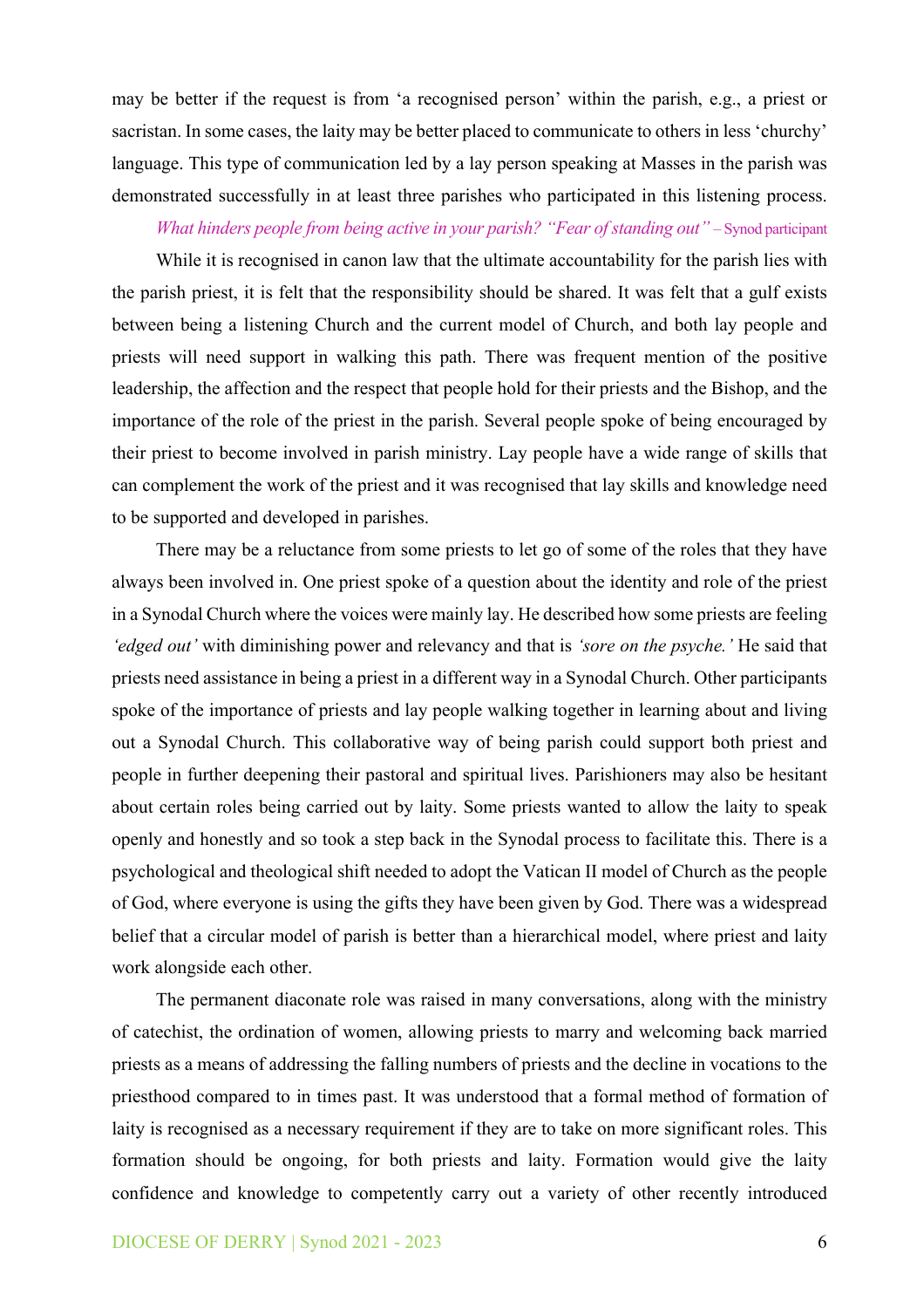may be better if the request is from 'a recognised person' within the parish, e.g., a priest or sacristan. In some cases, the laity may be better placed to communicate to others in less 'churchy' language. This type of communication led by a lay person speaking at Masses in the parish was demonstrated successfully in at least three parishes who participated in this listening process.

#### *What hinders people from being active in your parish? "Fear of standing out"* – Synod participant

While it is recognised in canon law that the ultimate accountability for the parish lies with the parish priest, it is felt that the responsibility should be shared. It was felt that a gulf exists between being a listening Church and the current model of Church, and both lay people and priests will need support in walking this path. There was frequent mention of the positive leadership, the affection and the respect that people hold for their priests and the Bishop, and the importance of the role of the priest in the parish. Several people spoke of being encouraged by their priest to become involved in parish ministry. Lay people have a wide range of skills that can complement the work of the priest and it was recognised that lay skills and knowledge need to be supported and developed in parishes.

There may be a reluctance from some priests to let go of some of the roles that they have always been involved in. One priest spoke of a question about the identity and role of the priest in a Synodal Church where the voices were mainly lay. He described how some priests are feeling *'edged out'* with diminishing power and relevancy and that is *'sore on the psyche.'* He said that priests need assistance in being a priest in a different way in a Synodal Church. Other participants spoke of the importance of priests and lay people walking together in learning about and living out a Synodal Church. This collaborative way of being parish could support both priest and people in further deepening their pastoral and spiritual lives. Parishioners may also be hesitant about certain roles being carried out by laity. Some priests wanted to allow the laity to speak openly and honestly and so took a step back in the Synodal process to facilitate this. There is a psychological and theological shift needed to adopt the Vatican II model of Church as the people of God, where everyone is using the gifts they have been given by God. There was a widespread belief that a circular model of parish is better than a hierarchical model, where priest and laity work alongside each other.

The permanent diaconate role was raised in many conversations, along with the ministry of catechist, the ordination of women, allowing priests to marry and welcoming back married priests as a means of addressing the falling numbers of priests and the decline in vocations to the priesthood compared to in times past. It was understood that a formal method of formation of laity is recognised as a necessary requirement if they are to take on more significant roles. This formation should be ongoing, for both priests and laity. Formation would give the laity confidence and knowledge to competently carry out a variety of other recently introduced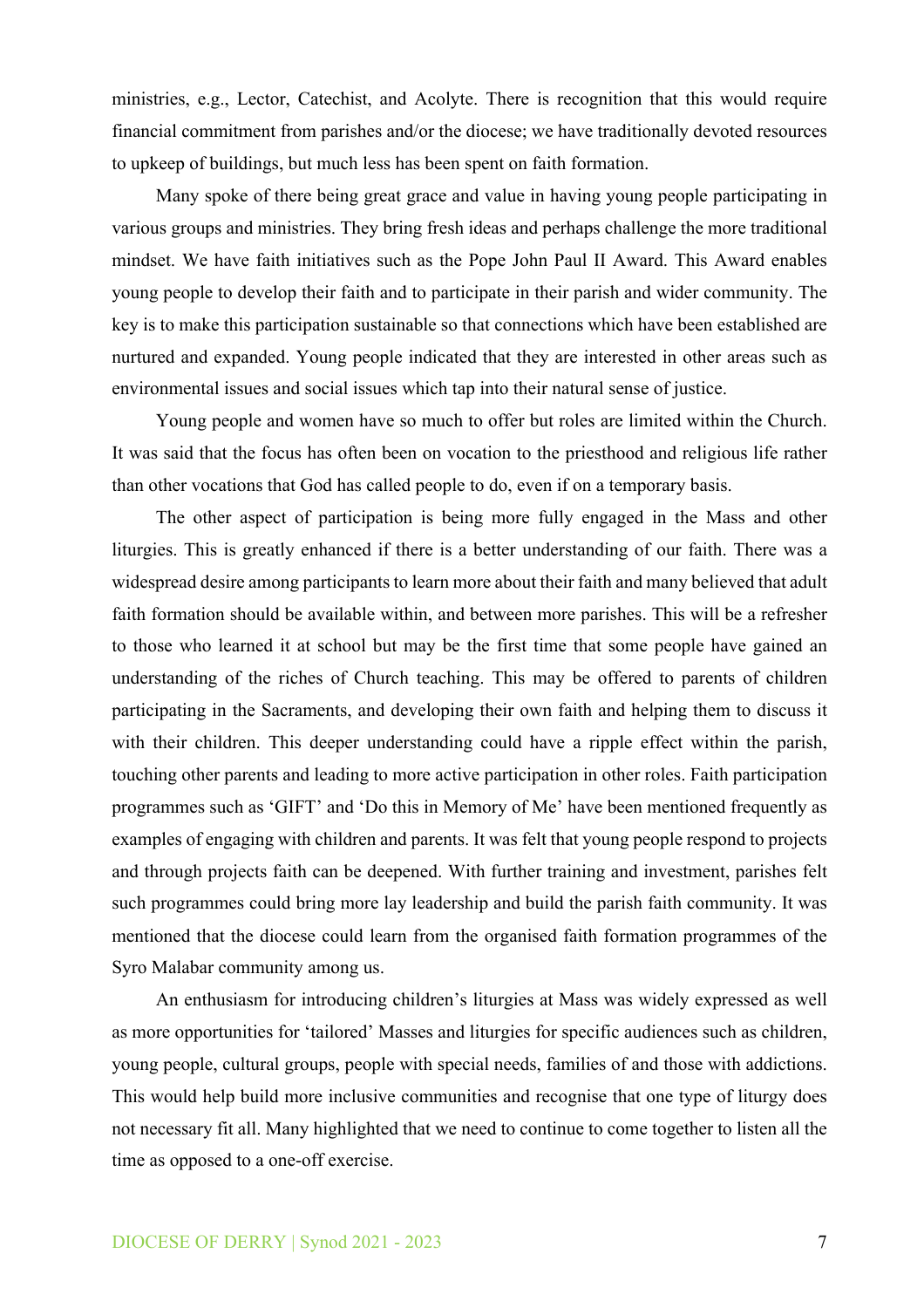ministries, e.g., Lector, Catechist, and Acolyte. There is recognition that this would require financial commitment from parishes and/or the diocese; we have traditionally devoted resources to upkeep of buildings, but much less has been spent on faith formation.

Many spoke of there being great grace and value in having young people participating in various groups and ministries. They bring fresh ideas and perhaps challenge the more traditional mindset. We have faith initiatives such as the Pope John Paul II Award. This Award enables young people to develop their faith and to participate in their parish and wider community. The key is to make this participation sustainable so that connections which have been established are nurtured and expanded. Young people indicated that they are interested in other areas such as environmental issues and social issues which tap into their natural sense of justice.

Young people and women have so much to offer but roles are limited within the Church. It was said that the focus has often been on vocation to the priesthood and religious life rather than other vocations that God has called people to do, even if on a temporary basis.

The other aspect of participation is being more fully engaged in the Mass and other liturgies. This is greatly enhanced if there is a better understanding of our faith. There was a widespread desire among participants to learn more about their faith and many believed that adult faith formation should be available within, and between more parishes. This will be a refresher to those who learned it at school but may be the first time that some people have gained an understanding of the riches of Church teaching. This may be offered to parents of children participating in the Sacraments, and developing their own faith and helping them to discuss it with their children. This deeper understanding could have a ripple effect within the parish, touching other parents and leading to more active participation in other roles. Faith participation programmes such as 'GIFT' and 'Do this in Memory of Me' have been mentioned frequently as examples of engaging with children and parents. It was felt that young people respond to projects and through projects faith can be deepened. With further training and investment, parishes felt such programmes could bring more lay leadership and build the parish faith community. It was mentioned that the diocese could learn from the organised faith formation programmes of the Syro Malabar community among us.

An enthusiasm for introducing children's liturgies at Mass was widely expressed as well as more opportunities for 'tailored' Masses and liturgies for specific audiences such as children, young people, cultural groups, people with special needs, families of and those with addictions. This would help build more inclusive communities and recognise that one type of liturgy does not necessary fit all. Many highlighted that we need to continue to come together to listen all the time as opposed to a one-off exercise.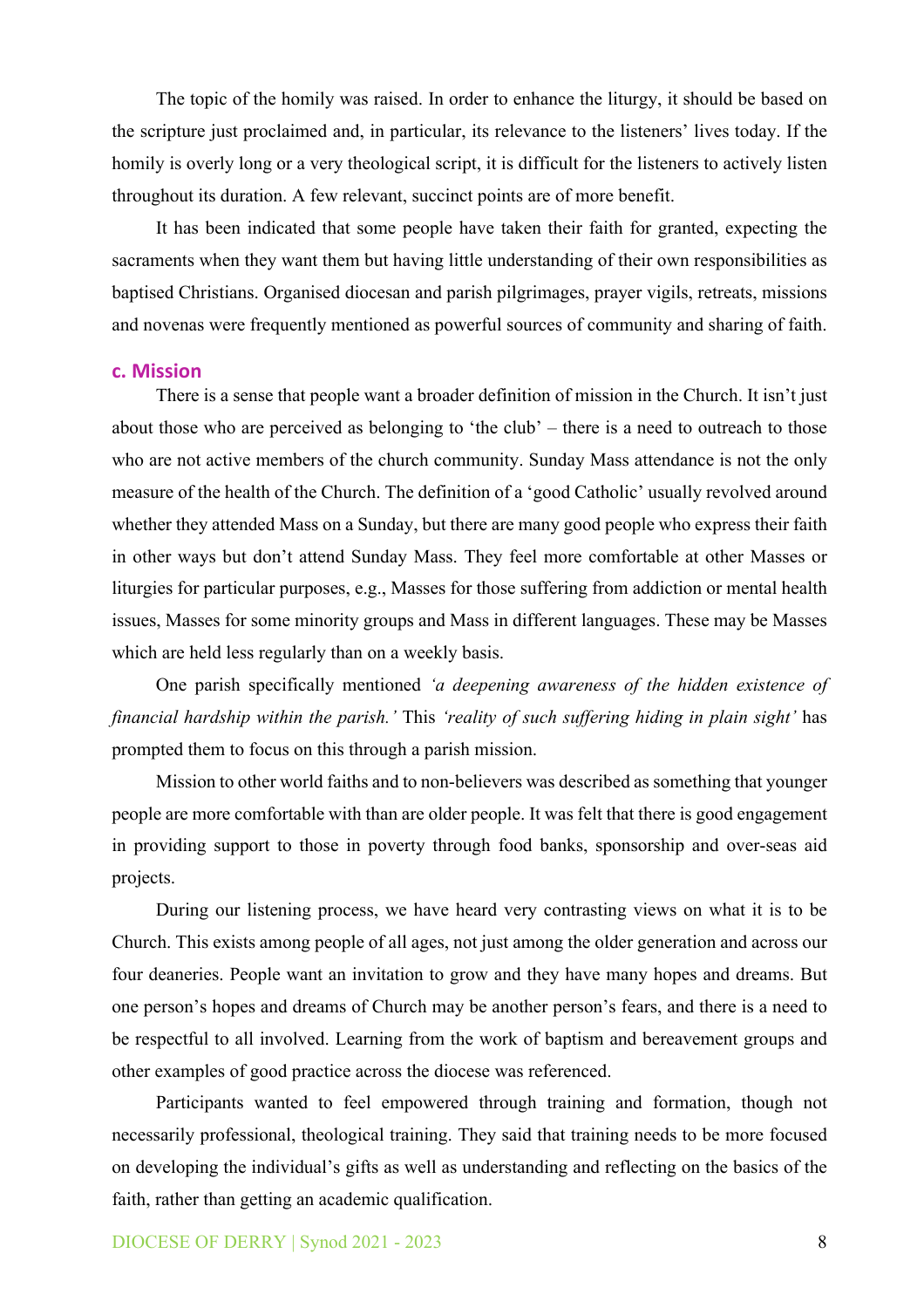The topic of the homily was raised. In order to enhance the liturgy, it should be based on the scripture just proclaimed and, in particular, its relevance to the listeners' lives today. If the homily is overly long or a very theological script, it is difficult for the listeners to actively listen throughout its duration. A few relevant, succinct points are of more benefit.

It has been indicated that some people have taken their faith for granted, expecting the sacraments when they want them but having little understanding of their own responsibilities as baptised Christians. Organised diocesan and parish pilgrimages, prayer vigils, retreats, missions and novenas were frequently mentioned as powerful sources of community and sharing of faith.

#### **c. Mission**

There is a sense that people want a broader definition of mission in the Church. It isn't just about those who are perceived as belonging to 'the club' – there is a need to outreach to those who are not active members of the church community. Sunday Mass attendance is not the only measure of the health of the Church. The definition of a 'good Catholic' usually revolved around whether they attended Mass on a Sunday, but there are many good people who express their faith in other ways but don't attend Sunday Mass. They feel more comfortable at other Masses or liturgies for particular purposes, e.g., Masses for those suffering from addiction or mental health issues, Masses for some minority groups and Mass in different languages. These may be Masses which are held less regularly than on a weekly basis.

One parish specifically mentioned *'a deepening awareness of the hidden existence of financial hardship within the parish.'* This *'reality of such suffering hiding in plain sight'* has prompted them to focus on this through a parish mission.

Mission to other world faiths and to non-believers was described as something that younger people are more comfortable with than are older people. It was felt that there is good engagement in providing support to those in poverty through food banks, sponsorship and over-seas aid projects.

During our listening process, we have heard very contrasting views on what it is to be Church. This exists among people of all ages, not just among the older generation and across our four deaneries. People want an invitation to grow and they have many hopes and dreams. But one person's hopes and dreams of Church may be another person's fears, and there is a need to be respectful to all involved. Learning from the work of baptism and bereavement groups and other examples of good practice across the diocese was referenced.

Participants wanted to feel empowered through training and formation, though not necessarily professional, theological training. They said that training needs to be more focused on developing the individual's gifts as well as understanding and reflecting on the basics of the faith, rather than getting an academic qualification.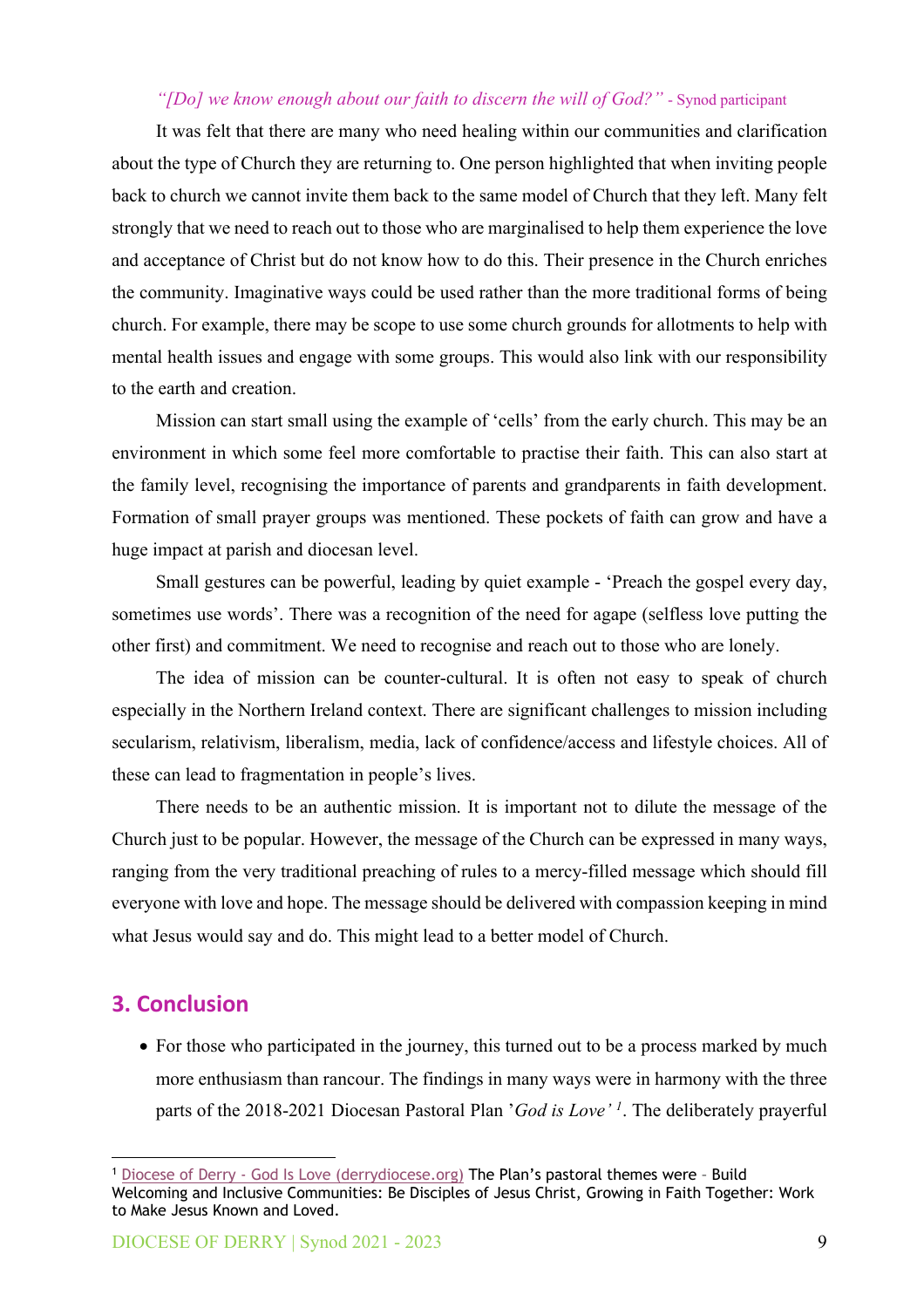## *"[Do] we know enough about our faith to discern the will of God?"* - Synod participant

It was felt that there are many who need healing within our communities and clarification about the type of Church they are returning to. One person highlighted that when inviting people back to church we cannot invite them back to the same model of Church that they left. Many felt strongly that we need to reach out to those who are marginalised to help them experience the love and acceptance of Christ but do not know how to do this. Their presence in the Church enriches the community. Imaginative ways could be used rather than the more traditional forms of being church. For example, there may be scope to use some church grounds for allotments to help with mental health issues and engage with some groups. This would also link with our responsibility to the earth and creation.

Mission can start small using the example of 'cells' from the early church. This may be an environment in which some feel more comfortable to practise their faith. This can also start at the family level, recognising the importance of parents and grandparents in faith development. Formation of small prayer groups was mentioned. These pockets of faith can grow and have a huge impact at parish and diocesan level.

Small gestures can be powerful, leading by quiet example - 'Preach the gospel every day, sometimes use words'. There was a recognition of the need for agape (selfless love putting the other first) and commitment. We need to recognise and reach out to those who are lonely.

The idea of mission can be counter-cultural. It is often not easy to speak of church especially in the Northern Ireland context. There are significant challenges to mission including secularism, relativism, liberalism, media, lack of confidence/access and lifestyle choices. All of these can lead to fragmentation in people's lives.

There needs to be an authentic mission. It is important not to dilute the message of the Church just to be popular. However, the message of the Church can be expressed in many ways, ranging from the very traditional preaching of rules to a mercy-filled message which should fill everyone with love and hope. The message should be delivered with compassion keeping in mind what Jesus would say and do. This might lead to a better model of Church.

# **3. Conclusion**

• For those who participated in the journey, this turned out to be a process marked by much more enthusiasm than rancour. The findings in many ways were in harmony with the three parts of the 2018-2021 Diocesan Pastoral Plan '*God is Love' <sup>1</sup>*. The deliberately prayerful

<sup>1</sup> Diocese of Derry - [God Is Love \(derrydiocese.org\)](https://www.derrydiocese.org/god-is-love) The Plan's pastoral themes were – Build Welcoming and Inclusive Communities: Be Disciples of Jesus Christ, Growing in Faith Together: Work to Make Jesus Known and Loved.